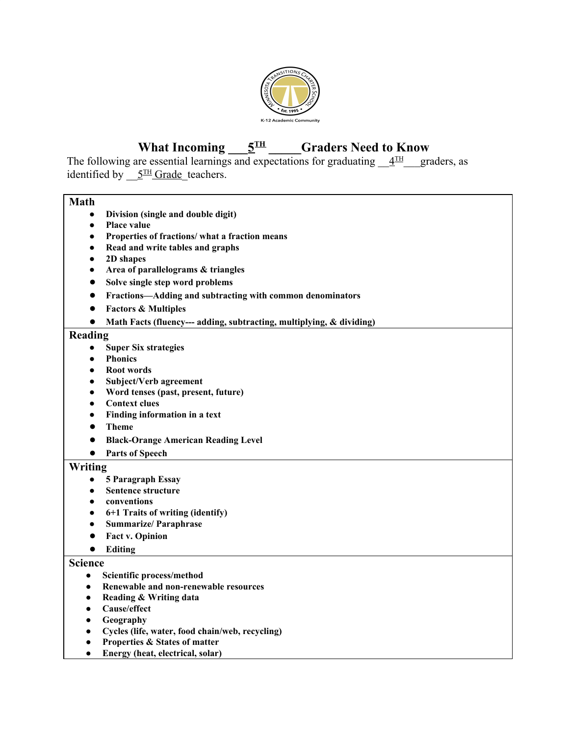

#### **What Incoming**  $\overline{5}^{\text{TH}}$ **TH \_\_\_\_\_Graders Need to Know**

The following are essential learnings and expectations for graduating  $4^{\text{TH}}$ graders, as identified by  $\underline{5}^{\text{TH}}$  Grade teachers.

# **Math**

- **● Division (single and double digit)**
- **● Place value**
- **● Properties of fractions/ what a fraction means**
- **● Read and write tables and graphs**
- **● 2D shapes**
- **● Area of parallelograms & triangles**
- **● Solve single step word problems**
- **● Fractions—Adding and subtracting with common denominators**
- **● Factors & Multiples**
- **● Math Facts (fluency--- adding, subtracting, multiplying, & dividing)**

#### **Reading**

- **● Super Six strategies**
- **● Phonics**
- **● Root words**
- **● Subject/Verb agreement**
- **● Word tenses (past, present, future)**
- **● Context clues**
- **● Finding information in a text**
- **● Theme**
- **● Black-Orange American Reading Level**
- **● Parts of Speech**

### **Writing**

- **● 5 Paragraph Essay**
- **● Sentence structure**
- **● conventions**
- **● 6+1 Traits of writing (identify)**
- **● Summarize/ Paraphrase**
- **● Fact v. Opinion**
- **● Editing**

#### **Science**

- **● Scientific process/method**
- **● Renewable and non-renewable resources**
- **● Reading & Writing data**
- **● Cause/effect**
- **● Geography**
- **● Cycles (life, water, food chain/web, recycling)**
- **● Properties & States of matter**
- **● Energy (heat, electrical, solar)**